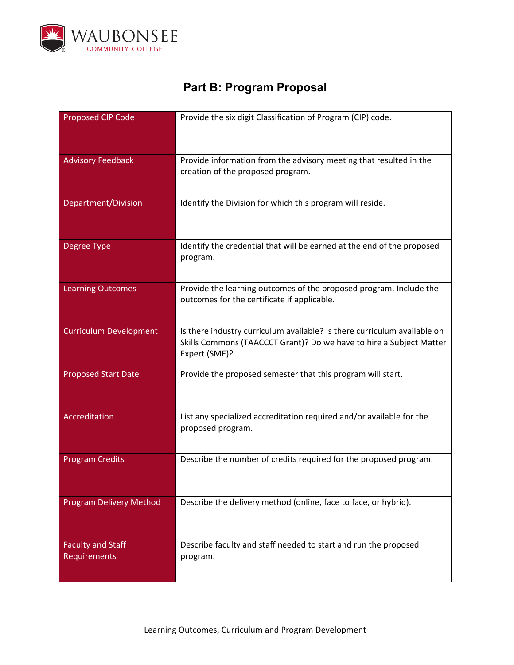

## **Part B: Program Proposal**

| Proposed CIP Code                        | Provide the six digit Classification of Program (CIP) code.                                                                                                      |
|------------------------------------------|------------------------------------------------------------------------------------------------------------------------------------------------------------------|
| <b>Advisory Feedback</b>                 | Provide information from the advisory meeting that resulted in the<br>creation of the proposed program.                                                          |
| Department/Division                      | Identify the Division for which this program will reside.                                                                                                        |
| Degree Type                              | Identify the credential that will be earned at the end of the proposed<br>program.                                                                               |
| <b>Learning Outcomes</b>                 | Provide the learning outcomes of the proposed program. Include the<br>outcomes for the certificate if applicable.                                                |
| <b>Curriculum Development</b>            | Is there industry curriculum available? Is there curriculum available on<br>Skills Commons (TAACCCT Grant)? Do we have to hire a Subject Matter<br>Expert (SME)? |
| <b>Proposed Start Date</b>               | Provide the proposed semester that this program will start.                                                                                                      |
| Accreditation                            | List any specialized accreditation required and/or available for the<br>proposed program.                                                                        |
| <b>Program Credits</b>                   | Describe the number of credits required for the proposed program.                                                                                                |
| <b>Program Delivery Method</b>           | Describe the delivery method (online, face to face, or hybrid).                                                                                                  |
| <b>Faculty and Staff</b><br>Requirements | Describe faculty and staff needed to start and run the proposed<br>program.                                                                                      |